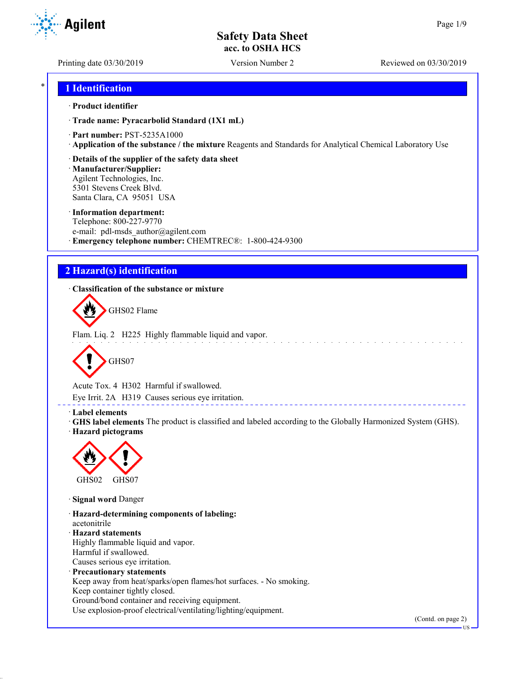Printing date 03/30/2019 Version Number 2 Reviewed on 03/30/2019

**Agilent** 

## \* **1 Identification**

### · **Product identifier**

· **Trade name: Pyracarbolid Standard (1X1 mL)**

- · **Part number:** PST-5235A1000
- · **Application of the substance / the mixture** Reagents and Standards for Analytical Chemical Laboratory Use
- · **Details of the supplier of the safety data sheet**

· **Manufacturer/Supplier:** Agilent Technologies, Inc. 5301 Stevens Creek Blvd. Santa Clara, CA 95051 USA

### · **Information department:**

Telephone: 800-227-9770 e-mail: pdl-msds author@agilent.com · **Emergency telephone number:** CHEMTREC®: 1-800-424-9300

## **2 Hazard(s) identification**

· **Classification of the substance or mixture**



Flam. Liq. 2 H225 Highly flammable liquid and vapor.



Acute Tox. 4 H302 Harmful if swallowed.

Eye Irrit. 2A H319 Causes serious eye irritation.

### · **Label elements**

· **GHS label elements** The product is classified and labeled according to the Globally Harmonized System (GHS). · **Hazard pictograms**

\_\_\_\_\_\_\_\_\_\_\_\_\_\_\_\_\_\_\_\_\_\_



· **Signal word** Danger

· **Hazard-determining components of labeling:** acetonitrile · **Hazard statements** Highly flammable liquid and vapor. Harmful if swallowed. Causes serious eye irritation. · **Precautionary statements** Keep away from heat/sparks/open flames/hot surfaces. - No smoking. Keep container tightly closed. Ground/bond container and receiving equipment.

Use explosion-proof electrical/ventilating/lighting/equipment.

(Contd. on page 2)

US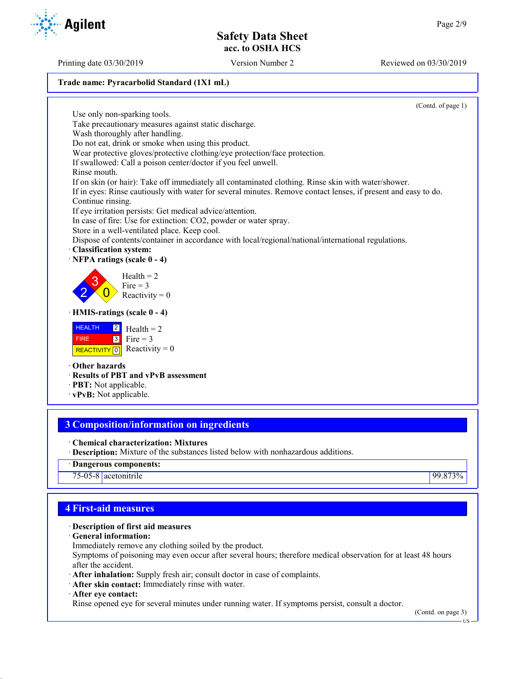### **Trade name: Pyracarbolid Standard (1X1 mL)**

(Contd. of page 1)

Use only non-sparking tools. Take precautionary measures against static discharge. Wash thoroughly after handling. Do not eat, drink or smoke when using this product. Wear protective gloves/protective clothing/eye protection/face protection. If swallowed: Call a poison center/doctor if you feel unwell. Rinse mouth. If on skin (or hair): Take off immediately all contaminated clothing. Rinse skin with water/shower. If in eyes: Rinse cautiously with water for several minutes. Remove contact lenses, if present and easy to do. Continue rinsing. If eye irritation persists: Get medical advice/attention. In case of fire: Use for extinction: CO2, powder or water spray. Store in a well-ventilated place. Keep cool. Dispose of contents/container in accordance with local/regional/national/international regulations. · **Classification system:** · **NFPA ratings (scale 0 - 4)** 2 3  $\overline{0}$  $Health = 2$ Fire  $= 3$ Reactivity  $= 0$ · **HMIS-ratings (scale 0 - 4) HEALTH**  FIRE REACTIVITY  $\boxed{0}$  Reactivity = 0 2 3  $Health = 2$ Fire  $= 3$ · **Other hazards** · **Results of PBT and vPvB assessment**

- · **PBT:** Not applicable.
- · **vPvB:** Not applicable.

# **3 Composition/information on ingredients**

- · **Chemical characterization: Mixtures**
- · **Description:** Mixture of the substances listed below with nonhazardous additions.
- · **Dangerous components:**

75-05-8 acetonitrile 99.873%

## **4 First-aid measures**

### · **Description of first aid measures**

- · **General information:**
- Immediately remove any clothing soiled by the product.

Symptoms of poisoning may even occur after several hours; therefore medical observation for at least 48 hours after the accident.

- · **After inhalation:** Supply fresh air; consult doctor in case of complaints.
- · **After skin contact:** Immediately rinse with water.
- · **After eye contact:**

Rinse opened eye for several minutes under running water. If symptoms persist, consult a doctor.

(Contd. on page 3)

US

Printing date 03/30/2019 Version Number 2 Reviewed on 03/30/2019

**Agilent**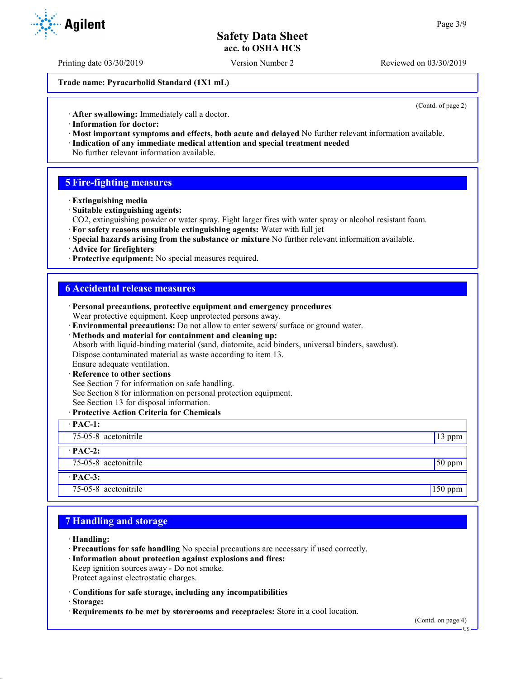Printing date 03/30/2019 Version Number 2 Reviewed on 03/30/2019

**Trade name: Pyracarbolid Standard (1X1 mL)**

(Contd. of page 2)

· **After swallowing:** Immediately call a doctor.

- · **Information for doctor:**
- · **Most important symptoms and effects, both acute and delayed** No further relevant information available. · **Indication of any immediate medical attention and special treatment needed**
- No further relevant information available.

### **5 Fire-fighting measures**

- · **Extinguishing media**
- · **Suitable extinguishing agents:**
- CO2, extinguishing powder or water spray. Fight larger fires with water spray or alcohol resistant foam.
- · **For safety reasons unsuitable extinguishing agents:** Water with full jet
- · **Special hazards arising from the substance or mixture** No further relevant information available.
- · **Advice for firefighters**
- · **Protective equipment:** No special measures required.

### **6 Accidental release measures**

| · Personal precautions, protective equipment and emergency procedures                            |          |
|--------------------------------------------------------------------------------------------------|----------|
| Wear protective equipment. Keep unprotected persons away.                                        |          |
| · Environmental precautions: Do not allow to enter sewers/ surface or ground water.              |          |
| · Methods and material for containment and cleaning up:                                          |          |
| Absorb with liquid-binding material (sand, diatomite, acid binders, universal binders, sawdust). |          |
| Dispose contaminated material as waste according to item 13.                                     |          |
| Ensure adequate ventilation.                                                                     |          |
| · Reference to other sections                                                                    |          |
| See Section 7 for information on safe handling.                                                  |          |
| See Section 8 for information on personal protection equipment.                                  |          |
| See Section 13 for disposal information.                                                         |          |
| · Protective Action Criteria for Chemicals                                                       |          |
| $\cdot$ PAC-1:                                                                                   |          |
| 75-05-8 acetonitrile                                                                             | 13 ppm   |
| $\cdot$ PAC-2:                                                                                   |          |
| 75-05-8 acetonitrile                                                                             | $50$ ppm |
| $\cdot$ PAC-3:                                                                                   |          |
| 75-05-8 $ $ acetonitrile                                                                         | 150 ppm  |

### **7 Handling and storage**

- · **Handling:**
- · **Precautions for safe handling** No special precautions are necessary if used correctly.
- · **Information about protection against explosions and fires:**
- Keep ignition sources away Do not smoke.
- Protect against electrostatic charges.
- · **Conditions for safe storage, including any incompatibilities**
- · **Storage:**
- · **Requirements to be met by storerooms and receptacles:** Store in a cool location.



US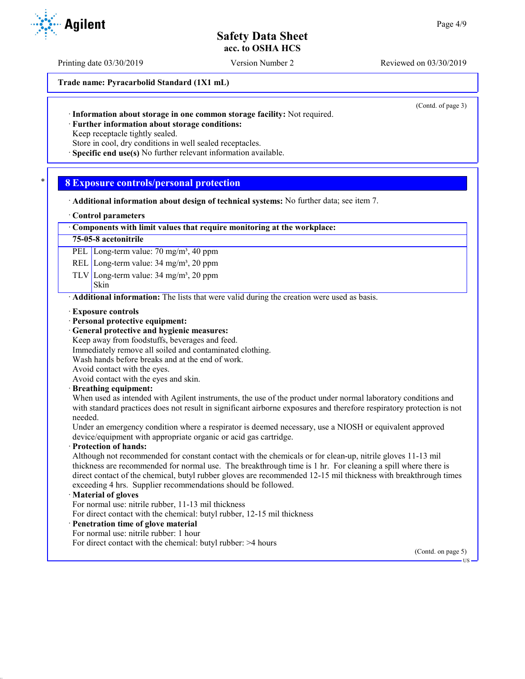Printing date 03/30/2019 Version Number 2 Reviewed on 03/30/2019

**Trade name: Pyracarbolid Standard (1X1 mL)**

(Contd. of page 3)

· **Information about storage in one common storage facility:** Not required.

· **Further information about storage conditions:**

Keep receptacle tightly sealed.

Store in cool, dry conditions in well sealed receptacles.

· **Specific end use(s)** No further relevant information available.

## \* **8 Exposure controls/personal protection**

· **Additional information about design of technical systems:** No further data; see item 7.

### · **Control parameters**

### · **Components with limit values that require monitoring at the workplace:**

### **75-05-8 acetonitrile**

PEL Long-term value: 70 mg/m<sup>3</sup>, 40 ppm

REL Long-term value: 34 mg/m<sup>3</sup>, 20 ppm

TLV Long-term value:  $34 \text{ mg/m}^3$ ,  $20 \text{ ppm}$ 

### Skin

**Agilent** 

· **Additional information:** The lists that were valid during the creation were used as basis.

- · **Exposure controls**
- · **Personal protective equipment:**
- · **General protective and hygienic measures:**
- Keep away from foodstuffs, beverages and feed.
- Immediately remove all soiled and contaminated clothing.
- Wash hands before breaks and at the end of work.

Avoid contact with the eyes.

Avoid contact with the eyes and skin.

· **Breathing equipment:**

When used as intended with Agilent instruments, the use of the product under normal laboratory conditions and with standard practices does not result in significant airborne exposures and therefore respiratory protection is not needed.

Under an emergency condition where a respirator is deemed necessary, use a NIOSH or equivalent approved device/equipment with appropriate organic or acid gas cartridge.

### · **Protection of hands:**

Although not recommended for constant contact with the chemicals or for clean-up, nitrile gloves 11-13 mil thickness are recommended for normal use. The breakthrough time is 1 hr. For cleaning a spill where there is direct contact of the chemical, butyl rubber gloves are recommended 12-15 mil thickness with breakthrough times exceeding 4 hrs. Supplier recommendations should be followed.

### · **Material of gloves**

For normal use: nitrile rubber, 11-13 mil thickness

For direct contact with the chemical: butyl rubber, 12-15 mil thickness

- · **Penetration time of glove material**
- For normal use: nitrile rubber: 1 hour
- For direct contact with the chemical: butyl rubber: >4 hours

(Contd. on page 5)

US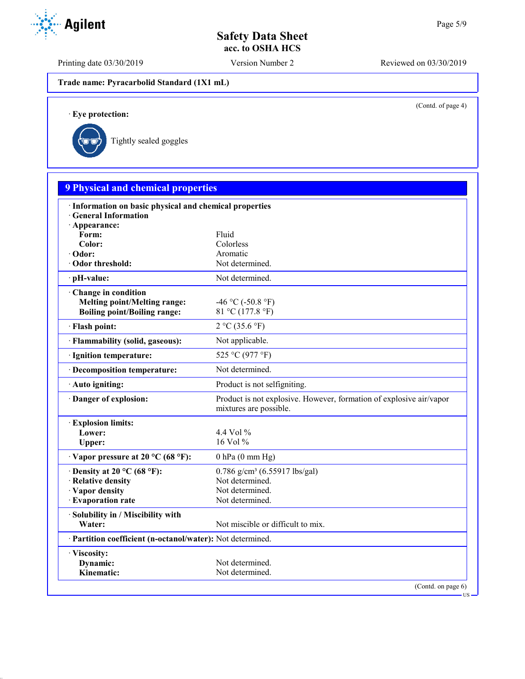Printing date 03/30/2019 Version Number 2 Reviewed on 03/30/2019

**Trade name: Pyracarbolid Standard (1X1 mL)**

(Contd. of page 4)

US

· **Eye protection:**



| <b>9 Physical and chemical properties</b>                                             |                                                                                               |
|---------------------------------------------------------------------------------------|-----------------------------------------------------------------------------------------------|
| · Information on basic physical and chemical properties<br><b>General Information</b> |                                                                                               |
| · Appearance:                                                                         |                                                                                               |
| Form:                                                                                 | Fluid                                                                                         |
| Color:<br>· Odor:                                                                     | Colorless<br>Aromatic                                                                         |
| Odor threshold:                                                                       | Not determined.                                                                               |
|                                                                                       |                                                                                               |
| pH-value:                                                                             | Not determined.                                                                               |
| Change in condition                                                                   |                                                                                               |
| <b>Melting point/Melting range:</b>                                                   | -46 °C (-50.8 °F)                                                                             |
| <b>Boiling point/Boiling range:</b>                                                   | 81 °C (177.8 °F)                                                                              |
| · Flash point:                                                                        | 2 °C (35.6 °F)                                                                                |
| · Flammability (solid, gaseous):                                                      | Not applicable.                                                                               |
| · Ignition temperature:                                                               | 525 °C (977 °F)                                                                               |
| · Decomposition temperature:                                                          | Not determined.                                                                               |
| · Auto igniting:                                                                      | Product is not selfigniting.                                                                  |
| Danger of explosion:                                                                  | Product is not explosive. However, formation of explosive air/vapor<br>mixtures are possible. |
| <b>Explosion limits:</b>                                                              |                                                                                               |
| Lower:                                                                                | 4.4 Vol $\%$                                                                                  |
| Upper:                                                                                | $16$ Vol $%$                                                                                  |
| $\cdot$ Vapor pressure at 20 °C (68 °F):                                              | $0$ hPa $(0$ mm Hg)                                                                           |
| $\cdot$ Density at 20 °C (68 °F):                                                     | $0.786$ g/cm <sup>3</sup> (6.55917 lbs/gal)                                                   |
| · Relative density                                                                    | Not determined.                                                                               |
| · Vapor density                                                                       | Not determined.                                                                               |
| · Evaporation rate                                                                    | Not determined.                                                                               |
| Solubility in / Miscibility with                                                      |                                                                                               |
| Water:                                                                                | Not miscible or difficult to mix.                                                             |
| · Partition coefficient (n-octanol/water): Not determined.                            |                                                                                               |
| · Viscosity:                                                                          |                                                                                               |
| Dynamic:                                                                              | Not determined.                                                                               |
| Kinematic:                                                                            | Not determined.                                                                               |

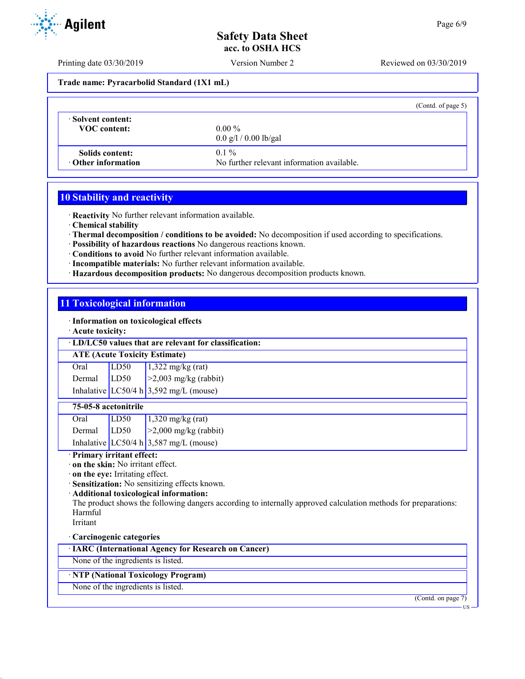Printing date 03/30/2019 Version Number 2 Reviewed on 03/30/2019

**Trade name: Pyracarbolid Standard (1X1 mL)**

|                           | (Contd. of page 5)                         |
|---------------------------|--------------------------------------------|
| Solvent content:          | $0.00\%$                                   |
| <b>VOC</b> content:       | $0.0 \frac{g}{1} / 0.00 \frac{g}{g}$       |
| Solids content:           | $0.1\%$                                    |
| $\cdot$ Other information | No further relevant information available. |

## **10 Stability and reactivity**

· **Reactivity** No further relevant information available.

· **Chemical stability**

· **Thermal decomposition / conditions to be avoided:** No decomposition if used according to specifications.

- · **Possibility of hazardous reactions** No dangerous reactions known.
- · **Conditions to avoid** No further relevant information available.
- · **Incompatible materials:** No further relevant information available.
- · **Hazardous decomposition products:** No dangerous decomposition products known.

## **11 Toxicological information**

· **Information on toxicological effects**

· **Acute toxicity:**

### · **LD/LC50 values that are relevant for classification:**

### **ATE (Acute Toxicity Estimate)**

| Oral   | LD50 | $1,322$ mg/kg (rat)                      |
|--------|------|------------------------------------------|
| Dermal | LD50 | $>2,003$ mg/kg (rabbit)                  |
|        |      | Inhalative LC50/4 h $3,592$ mg/L (mouse) |

### **75-05-8 acetonitrile**

| Oral   | LD50 | $1,320$ mg/kg (rat)                      |
|--------|------|------------------------------------------|
| Dermal | LD50 | $\geq$ 2,000 mg/kg (rabbit)              |
|        |      | Inhalative LC50/4 h $3,587$ mg/L (mouse) |

### · **Primary irritant effect:**

· **on the skin:** No irritant effect.

· **on the eye:** Irritating effect.

· **Sensitization:** No sensitizing effects known.

· **Additional toxicological information:**

The product shows the following dangers according to internally approved calculation methods for preparations: Harmful

Irritant

## · **Carcinogenic categories**

· **IARC (International Agency for Research on Cancer)**

None of the ingredients is listed.

## · **NTP (National Toxicology Program)**

None of the ingredients is listed.

(Contd. on page 7)



US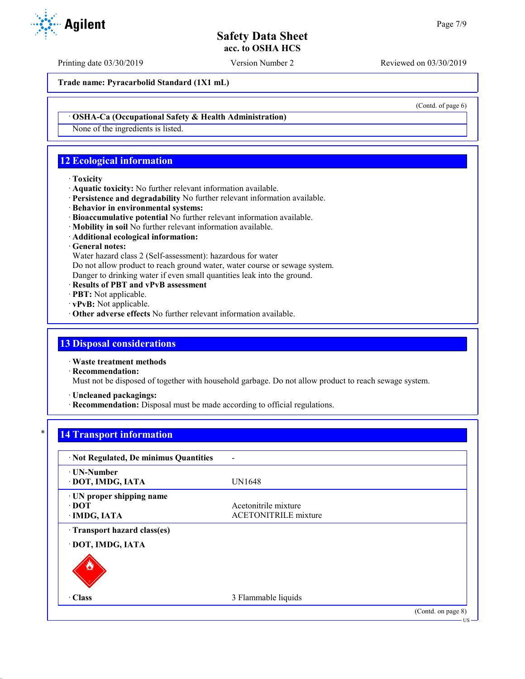Printing date 03/30/2019 Version Number 2 Reviewed on 03/30/2019

**Trade name: Pyracarbolid Standard (1X1 mL)**

(Contd. of page 6)

### · **OSHA-Ca (Occupational Safety & Health Administration)**

None of the ingredients is listed.

## **12 Ecological information**

#### · **Toxicity**

- · **Aquatic toxicity:** No further relevant information available.
- · **Persistence and degradability** No further relevant information available.
- · **Behavior in environmental systems:**
- · **Bioaccumulative potential** No further relevant information available.
- · **Mobility in soil** No further relevant information available.
- · **Additional ecological information:**

## · **General notes:**

Water hazard class 2 (Self-assessment): hazardous for water

Do not allow product to reach ground water, water course or sewage system.

Danger to drinking water if even small quantities leak into the ground.

- · **Results of PBT and vPvB assessment**
- · **PBT:** Not applicable.
- · **vPvB:** Not applicable.
- · **Other adverse effects** No further relevant information available.

## **13 Disposal considerations**

· **Waste treatment methods**

· **Recommendation:**

Must not be disposed of together with household garbage. Do not allow product to reach sewage system.

· **Uncleaned packagings:**

· **Recommendation:** Disposal must be made according to official regulations.

## **14 Transport information**

| · Not Regulated, De minimus Quantities                   |                                                     |                              |
|----------------------------------------------------------|-----------------------------------------------------|------------------------------|
| · UN-Number<br>· DOT, IMDG, IATA                         | <b>UN1648</b>                                       |                              |
| · UN proper shipping name<br>$\cdot$ DOT<br>· IMDG, IATA | Acetonitrile mixture<br><b>ACETONITRILE</b> mixture |                              |
| Transport hazard class(es)<br>· DOT, IMDG, IATA          |                                                     |                              |
| $\cdot$ Class                                            | 3 Flammable liquids                                 |                              |
|                                                          |                                                     | (Contd. on page 8)<br>$US -$ |

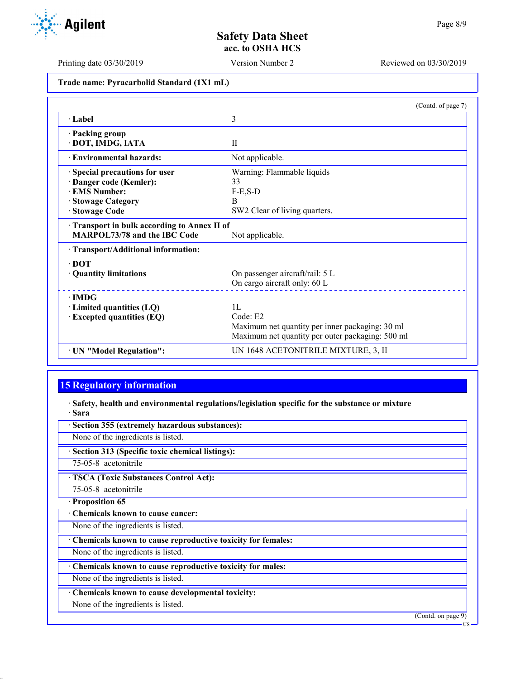Printing date 03/30/2019 Version Number 2 Reviewed on 03/30/2019

**Trade name: Pyracarbolid Standard (1X1 mL)**

|                                            | (Contd. of page 7)                               |
|--------------------------------------------|--------------------------------------------------|
| $\cdot$ Label                              | 3                                                |
| · Packing group                            |                                                  |
| · DOT, IMDG, IATA                          | $\mathbf{H}$                                     |
| <b>Environmental hazards:</b>              | Not applicable.                                  |
| Special precautions for user               | Warning: Flammable liquids                       |
| Danger code (Kemler):                      | 33                                               |
| <b>EMS Number:</b>                         | $F-E$ , $S-D$                                    |
| · Stowage Category                         | B                                                |
| <b>Stowage Code</b>                        | SW2 Clear of living quarters.                    |
| Transport in bulk according to Annex II of |                                                  |
| MARPOL73/78 and the IBC Code               | Not applicable.                                  |
| · Transport/Additional information:        |                                                  |
| $\cdot$ DOT                                |                                                  |
| · Quantity limitations                     | On passenger aircraft/rail: 5 L                  |
|                                            | On cargo aircraft only: 60 L                     |
| $\cdot$ IMDG                               |                                                  |
| $\cdot$ Limited quantities (LQ)            | 1L                                               |
| <b>Excepted quantities (EQ)</b>            | Code: E2                                         |
|                                            | Maximum net quantity per inner packaging: 30 ml  |
|                                            | Maximum net quantity per outer packaging: 500 ml |
| · UN "Model Regulation":                   | UN 1648 ACETONITRILE MIXTURE, 3, II              |

# **15 Regulatory information**

· **Safety, health and environmental regulations/legislation specific for the substance or mixture** · **Sara**

· **Section 355 (extremely hazardous substances):**

None of the ingredients is listed.

· **Section 313 (Specific toxic chemical listings):**

75-05-8 acetonitrile

· **TSCA (Toxic Substances Control Act):**

75-05-8 acetonitrile · **Proposition 65**

· **Chemicals known to cause cancer:**

None of the ingredients is listed.

· **Chemicals known to cause reproductive toxicity for females:**

None of the ingredients is listed.

· **Chemicals known to cause reproductive toxicity for males:**

None of the ingredients is listed.

· **Chemicals known to cause developmental toxicity:**

None of the ingredients is listed.

(Contd. on page 9)

US

Agilent